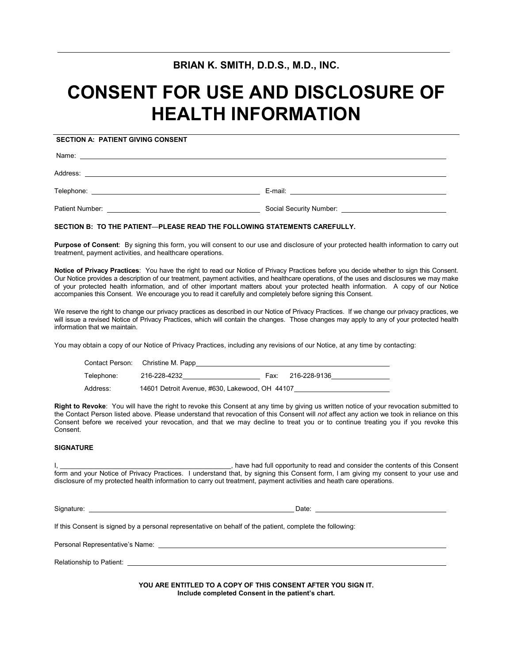# **BRIAN K. SMITH, D.D.S., M.D., INC.**

# **CONSENT FOR USE AND DISCLOSURE OF HEALTH INFORMATION**

# **SECTION A: PATIENT GIVING CONSENT**

Name:

Address:

Telephone: E-mail:

| Patient Number: | Social Security Number: |  |
|-----------------|-------------------------|--|
|                 |                         |  |

#### **SECTION B: TO THE PATIENT**—**PLEASE READ THE FOLLOWING STATEMENTS CAREFULLY.**

**Purpose of Consent**: By signing this form, you will consent to our use and disclosure of your protected health information to carry out treatment, payment activities, and healthcare operations.

**Notice of Privacy Practices**: You have the right to read our Notice of Privacy Practices before you decide whether to sign this Consent. Our Notice provides a description of our treatment, payment activities, and healthcare operations, of the uses and disclosures we may make of your protected health information, and of other important matters about your protected health information. A copy of our Notice accompanies this Consent. We encourage you to read it carefully and completely before signing this Consent.

We reserve the right to change our privacy practices as described in our Notice of Privacy Practices. If we change our privacy practices, we will issue a revised Notice of Privacy Practices, which will contain the changes. Those changes may apply to any of your protected health information that we maintain.

You may obtain a copy of our Notice of Privacy Practices, including any revisions of our Notice, at any time by contacting:

|            | Contact Person: Christine M. Papp              |      |              |
|------------|------------------------------------------------|------|--------------|
| Telephone: | 216-228-4232                                   | Fax: | 216-228-9136 |
| Address:   | 14601 Detroit Avenue, #630, Lakewood, OH 44107 |      |              |

**Right to Revoke**: You will have the right to revoke this Consent at any time by giving us written notice of your revocation submitted to the Contact Person listed above. Please understand that revocation of this Consent will *not* affect any action we took in reliance on this Consent before we received your revocation, and that we may decline to treat you or to continue treating you if you revoke this Consent.

### **SIGNATURE**

I, **Example 20** is the consention of the consenting to read and consider the contents of this Consent form and your Notice of Privacy Practices. I understand that, by signing this Consent form, I am giving my consent to your use and disclosure of my protected health information to carry out treatment, payment activities and heath care operations.

Signature: Date: If this Consent is signed by a personal representative on behalf of the patient, complete the following: Personal Representative's Name: \_\_\_

Relationship to Patient:

**YOU ARE ENTITLED TO A COPY OF THIS CONSENT AFTER YOU SIGN IT. Include completed Consent in the patient's chart.**